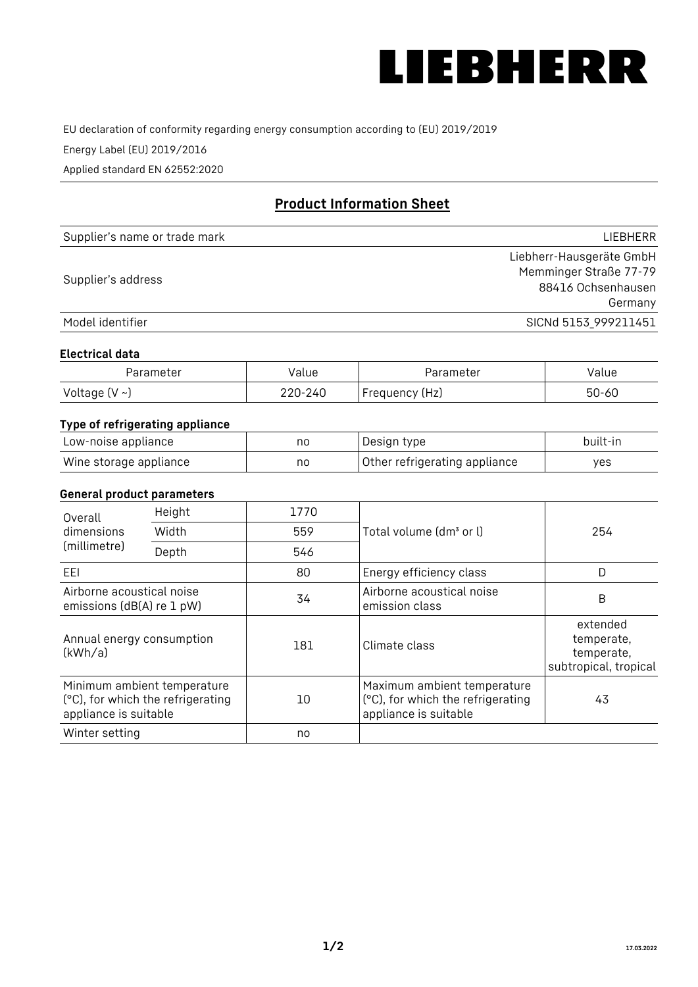

EU declaration of conformity regarding energy consumption according to (EU) 2019/2019

Energy Label (EU) 2019/2016

Applied standard EN 62552:2020

# **Product Information Sheet**

| Supplier's name or trade mark | <b>LIFBHFRR</b>          |
|-------------------------------|--------------------------|
|                               | Liebherr-Hausgeräte GmbH |
| Supplier's address            | Memminger Straße 77-79   |
|                               | 88416 Ochsenhausen       |
|                               | Germany                  |
| Model identifier              | SICNd 5153 999211451     |

#### **Electrical data**

| Parameter          | Value   | Parameter      | alue  |
|--------------------|---------|----------------|-------|
| Voltage $(V \sim)$ | 220-240 | Frequency (Hz) | 50-60 |

## **Type of refrigerating appliance**

| Low-noise appliance    | no | Design type                   | built-in |
|------------------------|----|-------------------------------|----------|
| Wine storage appliance | no | Other refrigerating appliance | yes      |

### **General product parameters**

| Height<br>Overall<br>dimensions<br>Width<br>(millimetre)<br>Depth |                                                                  | 1770 |                                                                                           | 254                                                           |
|-------------------------------------------------------------------|------------------------------------------------------------------|------|-------------------------------------------------------------------------------------------|---------------------------------------------------------------|
|                                                                   |                                                                  | 559  | Total volume (dm <sup>3</sup> or l)                                                       |                                                               |
|                                                                   |                                                                  | 546  |                                                                                           |                                                               |
| EEL                                                               |                                                                  | 80   | Energy efficiency class                                                                   | D                                                             |
| Airborne acoustical noise<br>emissions (dB(A) re 1 pW)            |                                                                  | 34   | Airborne acoustical noise<br>emission class                                               | B                                                             |
| Annual energy consumption<br>(kWh/a)                              |                                                                  | 181  | Climate class                                                                             | extended<br>temperate,<br>temperate,<br>subtropical, tropical |
| appliance is suitable                                             | Minimum ambient temperature<br>(°C), for which the refrigerating | 10   | Maximum ambient temperature<br>(°C), for which the refrigerating<br>appliance is suitable | 43                                                            |
| Winter setting                                                    |                                                                  | no   |                                                                                           |                                                               |